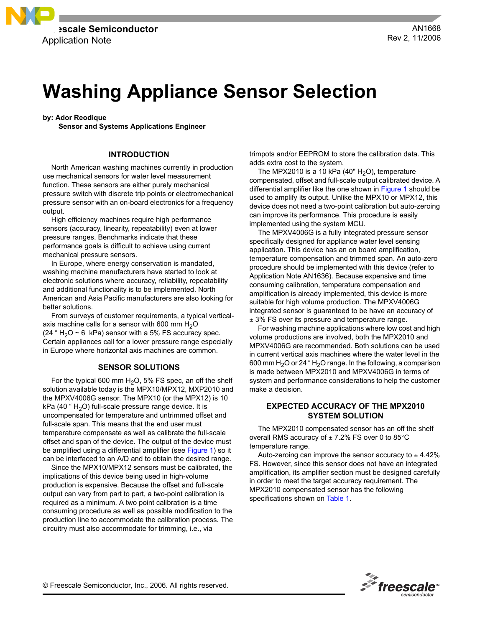

# **Washing Appliance Sensor Selection**

**by: Ador Reodique**

**Sensor and Systems Applications Engineer**

## **INTRODUCTION**

North American washing machines currently in production use mechanical sensors for water level measurement function. These sensors are either purely mechanical pressure switch with discrete trip points or electromechanical pressure sensor with an on-board electronics for a frequency output.

High efficiency machines require high performance sensors (accuracy, linearity, repeatability) even at lower pressure ranges. Benchmarks indicate that these performance goals is difficult to achieve using current mechanical pressure sensors.

In Europe, where energy conservation is mandated, washing machine manufacturers have started to look at electronic solutions where accuracy, reliability, repeatability and additional functionality is to be implemented. North American and Asia Pacific manufacturers are also looking for better solutions.

From surveys of customer requirements, a typical verticalaxis machine calls for a sensor with 600 mm  $H_2O$ (24  $\degree$  H<sub>2</sub>O ~ 6 kPa) sensor with a 5% FS accuracy spec. Certain appliances call for a lower pressure range especially in Europe where horizontal axis machines are common.

# **SENSOR SOLUTIONS**

For the typical 600 mm  $H_2O$ , 5% FS spec, an off the shelf solution available today is the MPX10/MPX12, MXP2010 and the MPXV4006G sensor. The MPX10 (or the MPX12) is 10  $kPa$  (40  $\degree$  H<sub>2</sub>O) full-scale pressure range device. It is uncompensated for temperature and untrimmed offset and full-scale span. This means that the end user must temperature compensate as well as calibrate the full-scale offset and span of the device. The output of the device must be amplified using a differential amplifier (see [Figure 1\)](#page-2-0) so it can be interfaced to an A/D and to obtain the desired range.

Since the MPX10/MPX12 sensors must be calibrated, the implications of this device being used in high-volume production is expensive. Because the offset and full-scale output can vary from part to part, a two-point calibration is required as a minimum. A two point calibration is a time consuming procedure as well as possible modification to the production line to accommodate the calibration process. The circuitry must also accommodate for trimming, i.e., via

trimpots and/or EEPROM to store the calibration data. This adds extra cost to the system.

The MPX2010 is a 10 kPa  $(40" H<sub>2</sub>O)$ , temperature compensated, offset and full-scale output calibrated device. A differential amplifier like the one shown in [Figure 1](#page-2-0) should be used to amplify its output. Unlike the MPX10 or MPX12, this device does not need a two-point calibration but auto-zeroing can improve its performance. This procedure is easily implemented using the system MCU.

The MPXV4006G is a fully integrated pressure sensor specifically designed for appliance water level sensing application. This device has an on board amplification, temperature compensation and trimmed span. An auto-zero procedure should be implemented with this device (refer to Application Note AN1636). Because expensive and time consuming calibration, temperature compensation and amplification is already implemented, this device is more suitable for high volume production. The MPXV4006G integrated sensor is guaranteed to be have an accuracy of  $±$  3% FS over its pressure and temperature range.

For washing machine applications where low cost and high volume productions are involved, both the MPX2010 and MPXV4006G are recommended. Both solutions can be used in current vertical axis machines where the water level in the 600 mm  $H<sub>2</sub>O$  or 24 "  $H<sub>2</sub>O$  range. In the following, a comparison is made between MPX2010 and MPXV4006G in terms of system and performance considerations to help the customer make a decision.

# **EXPECTED ACCURACY OF THE MPX2010 SYSTEM SOLUTION**

The MPX2010 compensated sensor has an off the shelf overall RMS accuracy of  $\pm$  7.2% FS over 0 to 85°C temperature range.

Auto-zeroing can improve the sensor accuracy to  $\pm$  4.42% FS. However, since this sensor does not have an integrated amplification, its amplifier section must be designed carefully in order to meet the target accuracy requirement. The MPX2010 compensated sensor has the following specifications shown on [Table 1](#page-1-0).

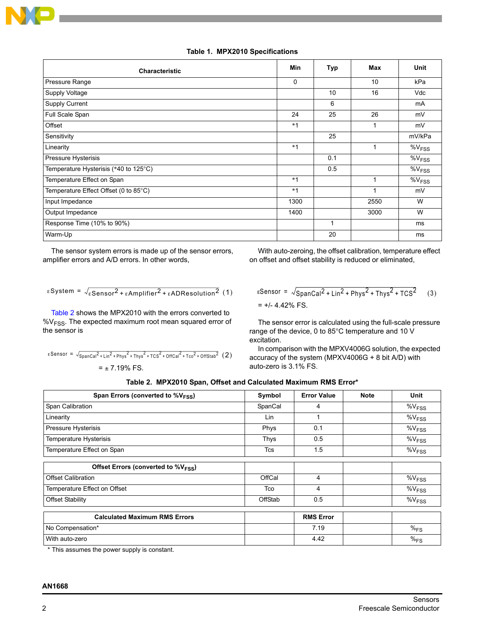

# **Table 1. MPX2010 Specifications**

<span id="page-1-0"></span>

| <b>Characteristic</b>                 | <b>Min</b> | Typ | <b>Max</b> | <b>Unit</b>          |
|---------------------------------------|------------|-----|------------|----------------------|
| Pressure Range                        | 0          |     | 10         | kPa                  |
| Supply Voltage                        |            | 10  | 16         | Vdc                  |
| Supply Current                        |            | 6   |            | mA                   |
| Full Scale Span                       | 24         | 25  | 26         | mV                   |
| Offset                                | $*1$       |     |            | mV                   |
| Sensitivity                           |            | 25  |            | mV/kPa               |
| Linearity                             | $*1$       |     | 1          | $\%V_{FSS}$          |
| Pressure Hysterisis                   |            | 0.1 |            | $\%V$ <sub>FSS</sub> |
| Temperature Hysterisis (*40 to 125°C) |            | 0.5 |            | $%V_{FSS}$           |
| Temperature Effect on Span            | $*1$       |     |            | $\%V$ <sub>FSS</sub> |
| Temperature Effect Offset (0 to 85°C) | $*1$       |     | 1          | mV                   |
| Input Impedance                       | 1300       |     | 2550       | W                    |
| Output Impedance                      | 1400       |     | 3000       | W                    |
| Response Time (10% to 90%)            |            | 1   |            | ms                   |
| Warm-Up                               |            | 20  |            | ms                   |

The sensor system errors is made up of the sensor errors, amplifier errors and A/D errors. In other words,

With auto-zeroing, the offset calibration, temperature effect on offset and offset stability is reduced or eliminated,

$$
\varepsilon
$$
 System =  $\sqrt{\varepsilon}$ Sensor<sup>2</sup> +  $\varepsilon$ Amplifier<sup>2</sup> +  $\varepsilon$ ADResolution<sup>2</sup> (1)

[Table 2](#page-1-1) shows the MPX2010 with the errors converted to %V<sub>FSS</sub>. The expected maximum root mean squared error of the sensor is

$$
\varepsilon \text{Sensor} = \sqrt{\text{SpanCal}^2 + \text{Lin}^2 + \text{Phys}^2 + \text{Thys}^2 + \text{TCS}^2 + \text{OffCal}^2 + \text{Tco}^2 + \text{OffStab}^2} \tag{2}
$$
\n
$$
= \pm 7.19\% \text{ FS.}
$$

$$
eSensor = \sqrt{SpanCal^2 + Lin^2 + Phys^2 + Thys^2 + TCS^2}
$$
 (3)  
= +/- 4.42% FS.

The sensor error is calculated using the full-scale pressure range of the device, 0 to 85°C temperature and 10 V excitation.

In comparison with the MPXV4006G solution, the expected accuracy of the system (MPXV4006G + 8 bit A/D) with auto-zero is 3.1% FS.

|  | Table 2. MPX2010 Span, Offset and Calculated Maximum RMS Error* |
|--|-----------------------------------------------------------------|
|--|-----------------------------------------------------------------|

<span id="page-1-1"></span>

| Span Errors (converted to $\%V_{FSS}$ )         | Symbol  | <b>Error Value</b> | <b>Note</b> | Unit                 |
|-------------------------------------------------|---------|--------------------|-------------|----------------------|
| Span Calibration                                | SpanCal | 4                  |             | $\%V$ <sub>FSS</sub> |
| Linearity                                       | Lin     | 1                  |             | $\%V_{FSS}$          |
| Pressure Hysterisis                             | Phys    | 0.1                |             | $\%V_{FSS}$          |
| Temperature Hysterisis                          | Thys    | 0.5                |             | $\%V_{FSS}$          |
| Temperature Effect on Span                      | Tcs     | 1.5                |             | $\%V_{FSS}$          |
| Offset Errors (converted to %V <sub>ESS</sub> ) |         |                    |             |                      |
| <b>Offset Calibration</b>                       | OffCal  | 4                  |             | $\%V$ <sub>FSS</sub> |
| Temperature Effect on Offset                    | Tco     | 4                  |             | $\%V$ <sub>FSS</sub> |
| <b>Offset Stability</b>                         | OffStab | 0.5                |             | %V <sub>FSS</sub>    |
| <b>Calculated Maximum RMS Errors</b>            |         | <b>RMS Error</b>   |             |                      |
| No Compensation*                                |         | 7.19               |             | $\%$ <sub>FS</sub>   |
| With auto-zero                                  |         | 4.42               |             | $\%$ <sub>FS</sub>   |

\* This assumes the power supply is constant.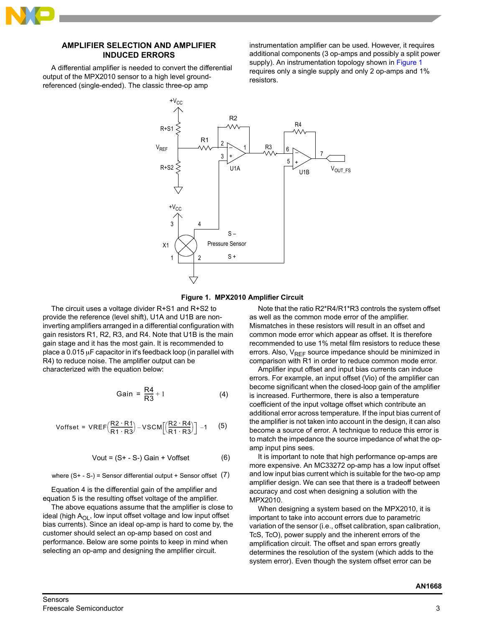

## **AMPLIFIER SELECTION AND AMPLIFIER INDUCED ERRORS**

A differential amplifier is needed to convert the differential output of the MPX2010 sensor to a high level groundreferenced (single-ended). The classic three-op amp

instrumentation amplifier can be used. However, it requires additional components (3 op-amps and possibly a split power supply). An instrumentation topology shown in [Figure 1](#page-2-0) requires only a single supply and only 2 op-amps and 1% resistors.



**Figure 1. MPX2010 Amplifier Circuit**

<span id="page-2-0"></span>The circuit uses a voltage divider R+S1 and R+S2 to provide the reference (level shift), U1A and U1B are noninverting amplifiers arranged in a differential configuration with gain resistors R1, R2, R3, and R4. Note that U1B is the main gain stage and it has the most gain. It is recommended to place a  $0.015 \mu$ F capacitor in it's feedback loop (in parallel with R4) to reduce noise. The amplifier output can be characterized with the equation below:

$$
Gain = \frac{R4}{R3} + 1 \tag{4}
$$

Voffset = VREF
$$
\left(\frac{R2 \cdot R1}{R1 \cdot R3}\right)
$$
 - VSCM $\left[\left(\frac{R2 \cdot R4}{R1 \cdot R3}\right)\right]$  -1 (5)

$$
Vout = (S + - S-) Gain + Voffset
$$
 (6)

where  $(S^+ - S^-)$  = Sensor differential output + Sensor offset  $(7)$ 

Equation 4 is the differential gain of the amplifier and equation 5 is the resulting offset voltage of the amplifier.

The above equations assume that the amplifier is close to ideal (high  $A_{\text{OL}}$ , low input offset voltage and low input offset bias currents). Since an ideal op-amp is hard to come by, the customer should select an op-amp based on cost and performance. Below are some points to keep in mind when selecting an op-amp and designing the amplifier circuit.

Note that the ratio R2\*R4/R1\*R3 controls the system offset as well as the common mode error of the amplifier. Mismatches in these resistors will result in an offset and common mode error which appear as offset. It is therefore recommended to use 1% metal film resistors to reduce these errors. Also,  $V_{REF}$  source impedance should be minimized in comparison with R1 in order to reduce common mode error.

Amplifier input offset and input bias currents can induce errors. For example, an input offset (Vio) of the amplifier can become significant when the closed-loop gain of the amplifier is increased. Furthermore, there is also a temperature coefficient of the input voltage offset which contribute an additional error across temperature. If the input bias current of the amplifier is not taken into account in the design, it can also become a source of error. A technique to reduce this error is to match the impedance the source impedance of what the opamp input pins sees.

It is important to note that high performance op-amps are more expensive. An MC33272 op-amp has a low input offset and low input bias current which is suitable for the two-op amp amplifier design. We can see that there is a tradeoff between accuracy and cost when designing a solution with the MPX2010.

When designing a system based on the MPX2010, it is important to take into account errors due to parametric variation of the sensor (i.e., offset calibration, span calibration, TcS, TcO), power supply and the inherent errors of the amplification circuit. The offset and span errors greatly determines the resolution of the system (which adds to the system error). Even though the system offset error can be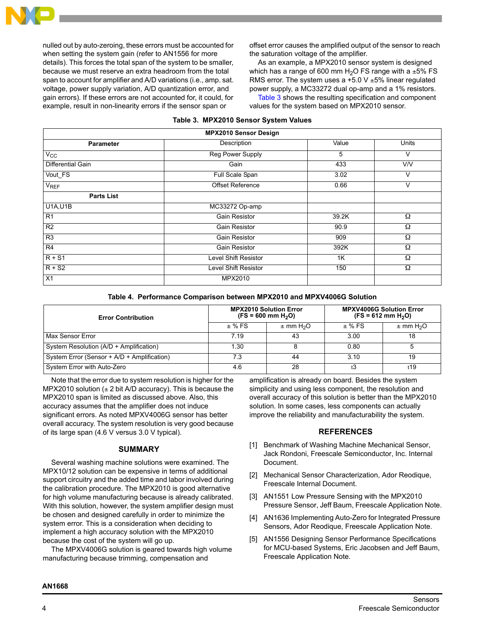

nulled out by auto-zeroing, these errors must be accounted for when setting the system gain (refer to AN1556 for more details). This forces the total span of the system to be smaller, because we must reserve an extra headroom from the total span to account for amplifier and A/D variations (i.e., amp. sat. voltage, power supply variation, A/D quantization error, and gain errors). If these errors are not accounted for, it could, for example, result in non-linearity errors if the sensor span or

offset error causes the amplified output of the sensor to reach the saturation voltage of the amplifier.

As an example, a MPX2010 sensor system is designed which has a range of 600 mm  $H_2O$  FS range with a  $\pm 5\%$  FS RMS error. The system uses a  $+5.0$  V  $\pm 5%$  linear regulated power supply, a MC33272 dual op-amp and a 1% resistors.

[Table 3](#page-3-0) shows the resulting specification and component values for the system based on MPX2010 sensor.

<span id="page-3-0"></span>

| <b>MPX2010 Sensor Design</b> |                      |       |       |  |  |
|------------------------------|----------------------|-------|-------|--|--|
| Parameter                    | Description          | Value | Units |  |  |
| $V_{CC}$                     | Reg Power Supply     | 5     | V     |  |  |
| Differential Gain            | Gain                 | 433   | V/V   |  |  |
| Vout_FS                      | Full Scale Span      | 3.02  | v     |  |  |
| V <sub>REF</sub>             | Offset Reference     | 0.66  | V     |  |  |
| <b>Parts List</b>            |                      |       |       |  |  |
| <b>U1A, U1B</b>              | MC33272 Op-amp       |       |       |  |  |
| R1                           | <b>Gain Resistor</b> | 39.2K | Ω     |  |  |
| R <sub>2</sub>               | Gain Resistor        |       | Ω     |  |  |
| R <sub>3</sub>               | <b>Gain Resistor</b> |       | Ω     |  |  |
| R4                           | Gain Resistor        | 392K  | Ω     |  |  |
| $R + S1$                     | Level Shift Resistor | 1K    | Ω     |  |  |
| $R + S2$                     | Level Shift Resistor | 150   |       |  |  |
| X1                           | MPX2010              |       |       |  |  |

### **Table 3. MPX2010 Sensor System Values**

|  |  |  | Table 4. Performance Comparison between MPX2010 and MPXV4006G Solution |
|--|--|--|------------------------------------------------------------------------|
|  |  |  |                                                                        |

| <b>Error Contribution</b>                   |          | <b>MPX2010 Solution Error</b><br>$(FS = 600$ mm $H2O$ ) | <b>MPXV4006G Solution Error</b><br>$(FS = 612 \text{ mm H}_2O)$ |                           |  |
|---------------------------------------------|----------|---------------------------------------------------------|-----------------------------------------------------------------|---------------------------|--|
|                                             | $±$ % FS | $\pm$ mm H <sub>2</sub> O                               | $±$ % FS                                                        | $\pm$ mm H <sub>2</sub> O |  |
| Max Sensor Error                            | 7.19     | 43                                                      | 3.00                                                            | 18                        |  |
| System Resolution (A/D + Amplification)     | . 30     |                                                         | 0.80                                                            |                           |  |
| System Error (Sensor + A/D + Amplification) | 7.3      | 44                                                      | 3.10                                                            | 19                        |  |
| System Error with Auto-Zero                 | 4.6      | 28                                                      | ť3                                                              | t19                       |  |

Note that the error due to system resolution is higher for the MPX2010 solution  $(\pm 2 \text{ bit A/D}$  accuracy). This is because the MPX2010 span is limited as discussed above. Also, this accuracy assumes that the amplifier does not induce significant errors. As noted MPXV4006G sensor has better overall accuracy. The system resolution is very good because of its large span (4.6 V versus 3.0 V typical).

## **SUMMARY**

Several washing machine solutions were examined. The MPX10/12 solution can be expensive in terms of additional support circuitry and the added time and labor involved during the calibration procedure. The MPX2010 is good alternative for high volume manufacturing because is already calibrated. With this solution, however, the system amplifier design must be chosen and designed carefully in order to minimize the system error. This is a consideration when deciding to implement a high accuracy solution with the MPX2010 because the cost of the system will go up.

The MPXV4006G solution is geared towards high volume manufacturing because trimming, compensation and

amplification is already on board. Besides the system simplicity and using less component, the resolution and overall accuracy of this solution is better than the MPX2010 solution. In some cases, less components can actually improve the reliability and manufacturability the system.

#### **REFERENCES**

- [1] Benchmark of Washing Machine Mechanical Sensor, Jack Rondoni, Freescale Semiconductor, Inc. Internal Document.
- [2] Mechanical Sensor Characterization, Ador Reodique, Freescale Internal Document.
- [3] AN1551 Low Pressure Sensing with the MPX2010 Pressure Sensor, Jeff Baum, Freescale Application Note.
- [4] AN1636 Implementing Auto-Zero for Integrated Pressure Sensors, Ador Reodique, Freescale Application Note.
- [5] AN1556 Designing Sensor Performance Specifications for MCU-based Systems, Eric Jacobsen and Jeff Baum, Freescale Application Note.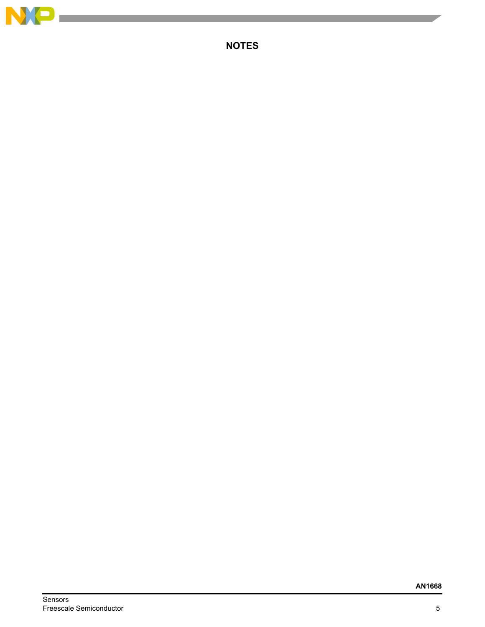

п

**NOTES**